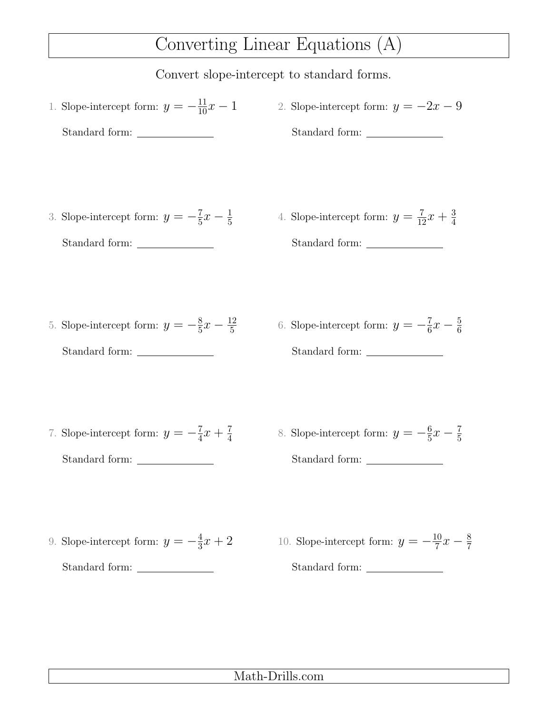# Converting Linear Equations (A)

Convert slope-intercept to standard forms.

1. Slope-intercept form:  $y = -\frac{11}{10}x - 1$ Standard form: 2. Slope-intercept form:  $y = -2x - 9$ Standard form: 3. Slope-intercept form:  $y = -\frac{7}{5}$  $\frac{7}{5}x-\frac{1}{5}$ 5 Standard form: 4. Slope-intercept form:  $y = \frac{7}{12}x + \frac{3}{4}$ 4 Standard form: 5. Slope-intercept form:  $y = -\frac{8}{5}$  $\frac{8}{5}x-\frac{12}{5}$ 5 Standard form: 6. Slope-intercept form:  $y = -\frac{7}{6}$  $\frac{7}{6}x - \frac{5}{6}$ 6 Standard form: 7. Slope-intercept form:  $y = -\frac{7}{4}$  $\frac{7}{4}x + \frac{7}{4}$ 4 Standard form: 8. Slope-intercept form:  $y = -\frac{6}{5}$  $\frac{6}{5}x-\frac{7}{5}$ 5 Standard form: 9. Slope-intercept form:  $y = -\frac{4}{3}$  $\frac{4}{3}x + 2$ Standard form: 10. Slope-intercept form:  $y = -\frac{10}{7}$  $\frac{10}{7}x - \frac{8}{7}$ Standard form:

### Math-Drills.com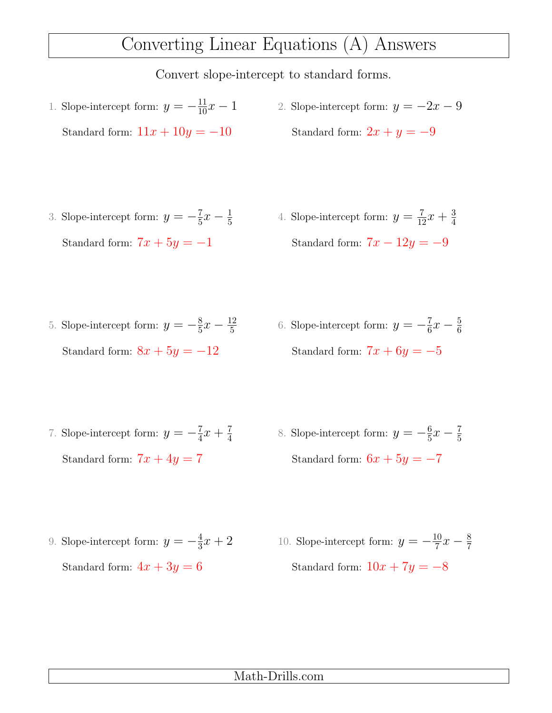## Converting Linear Equations (A) Answers

Convert slope-intercept to standard forms.

- 1. Slope-intercept form:  $y = -\frac{11}{10}x 1$ Standard form:  $11x + 10y = -10$ 2. Slope-intercept form:  $y = -2x - 9$ Standard form:  $2x + y = -9$
- 3. Slope-intercept form:  $y = -\frac{7}{5}$  $\frac{7}{5}x-\frac{1}{5}$ 5 Standard form:  $7x + 5y = -1$
- 4. Slope-intercept form:  $y = \frac{7}{12}x + \frac{3}{4}$ 4 Standard form:  $7x - 12y = -9$

6

- 5. Slope-intercept form:  $y = -\frac{8}{5}$  $\frac{8}{5}x-\frac{12}{5}$ 5 Standard form:  $8x + 5y = -12$ 6. Slope-intercept form:  $y = -\frac{7}{6}$  $\frac{7}{6}x - \frac{5}{6}$ Standard form:  $7x + 6y = -5$
- 7. Slope-intercept form:  $y = -\frac{7}{4}$  $\frac{7}{4}x + \frac{7}{4}$ 4 Standard form:  $7x + 4y = 7$ 8. Slope-intercept form:  $y = -\frac{6}{5}$  $\frac{6}{5}x-\frac{7}{5}$ 5 Standard form:  $6x + 5y = -7$
- 9. Slope-intercept form:  $y = -\frac{4}{3}$  $\frac{4}{3}x + 2$ Standard form:  $4x + 3y = 6$ 10. Slope-intercept form:  $y = -\frac{10}{7}$  $\frac{10}{7}x - \frac{8}{7}$ Standard form:  $10x + 7y = -8$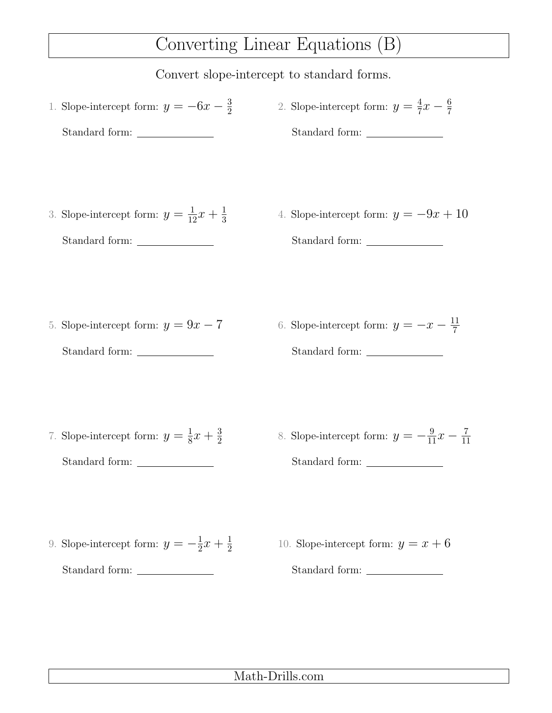## Converting Linear Equations (B)

Convert slope-intercept to standard forms.

- 1. Slope-intercept form:  $y = -6x \frac{3}{2}$ 2 Standard form: 2. Slope-intercept form:  $y = \frac{4}{7}$  $\frac{4}{7}x - \frac{6}{7}$ 7 Standard form:
- 3. Slope-intercept form:  $y = \frac{1}{12}x + \frac{1}{3}$ 3 Standard form:
- 4. Slope-intercept form:  $y = -9x + 10$ Standard form:

- 5. Slope-intercept form:  $y = 9x 7$ Standard form:
- 6. Slope-intercept form:  $y = -x \frac{11}{7}$ 7 Standard form:

- 7. Slope-intercept form:  $y=\frac{1}{8}$  $\frac{1}{8}x + \frac{3}{2}$ 2 Standard form:
- 8. Slope-intercept form:  $y = -\frac{9}{11}x \frac{7}{11}$ 11 Standard form:

- 9. Slope-intercept form:  $y = -\frac{1}{2}$  $rac{1}{2}x + \frac{1}{2}$ 2 Standard form:
- 10. Slope-intercept form:  $y = x + 6$ Standard form:

### Math-Drills.com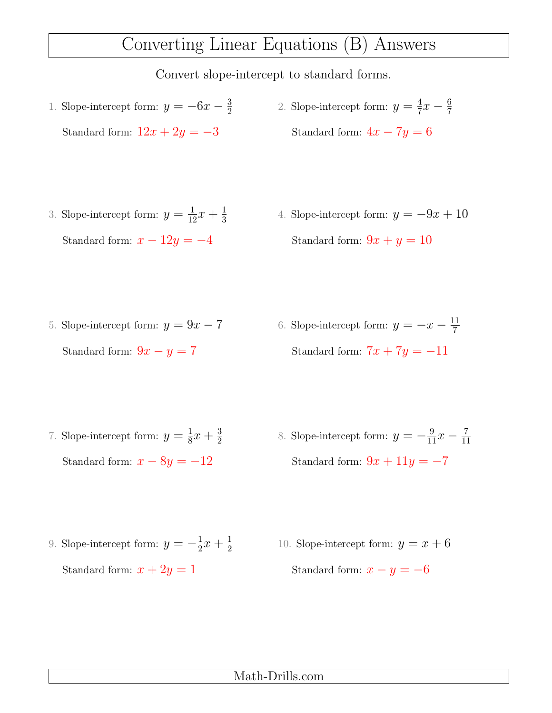## Converting Linear Equations (B) Answers

- 1. Slope-intercept form:  $y = -6x \frac{3}{2}$ 2 Standard form:  $12x + 2y = -3$ 2. Slope-intercept form:  $y = \frac{4}{7}$  $\frac{4}{7}x - \frac{6}{7}$ 7 Standard form:  $4x - 7y = 6$
- 3. Slope-intercept form:  $y = \frac{1}{12}x + \frac{1}{3}$ 3 Standard form:  $x - 12y = -4$ 4. Slope-intercept form:  $y = -9x + 10$ Standard form:  $9x + y = 10$
- 5. Slope-intercept form:  $y = 9x 7$ Standard form:  $9x - y = 7$ 6. Slope-intercept form:  $y = -x - \frac{11}{7}$ 7 Standard form:  $7x + 7y = -11$
- 7. Slope-intercept form:  $y=\frac{1}{8}$  $\frac{1}{8}x + \frac{3}{2}$ 2 Standard form:  $x - 8y = -12$ 8. Slope-intercept form:  $y = -\frac{9}{11}x - \frac{7}{11}$ 11 Standard form:  $9x + 11y = -7$
- 9. Slope-intercept form:  $y = -\frac{1}{2}$  $rac{1}{2}x + \frac{1}{2}$ 2 Standard form:  $x + 2y = 1$ 10. Slope-intercept form:  $y = x + 6$ Standard form:  $x - y = -6$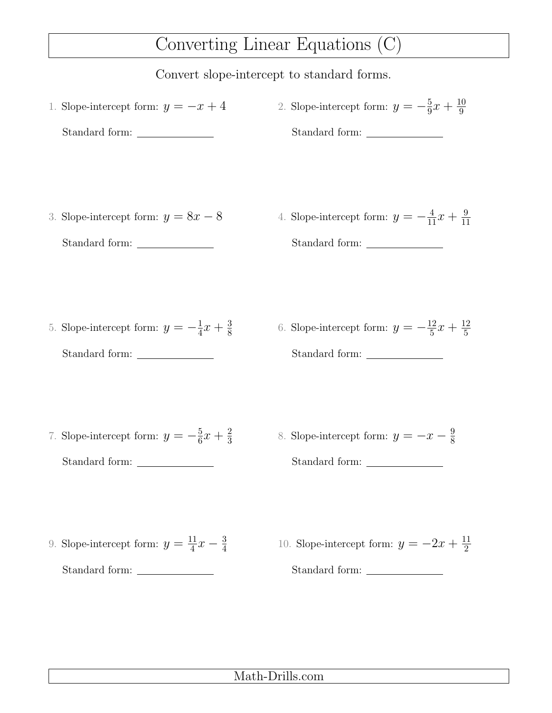## Converting Linear Equations (C)

#### Convert slope-intercept to standard forms.

- 1. Slope-intercept form:  $y = -x + 4$ Standard form: 2. Slope-intercept form:  $y = -\frac{5}{9}$  $\frac{5}{9}x + \frac{10}{9}$ 9 Standard form:
- 3. Slope-intercept form:  $y = 8x 8$ Standard form:
- 4. Slope-intercept form:  $y = -\frac{4}{11}x + \frac{9}{11}$ 11 Standard form:

- 5. Slope-intercept form:  $y = -\frac{1}{4}$  $\frac{1}{4}x + \frac{3}{8}$ 8 Standard form:
- 6. Slope-intercept form:  $y = -\frac{12}{5}$  $\frac{12}{5}x + \frac{12}{5}$ 5 Standard form:

- 7. Slope-intercept form:  $y = -\frac{5}{6}$  $\frac{5}{6}x + \frac{2}{3}$ 3 Standard form:
- 8. Slope-intercept form:  $y = -x \frac{9}{8}$ 8 Standard form:

- 9. Slope-intercept form:  $y = \frac{11}{4}$  $\frac{11}{4}x - \frac{3}{4}$ 4 Standard form:
- 10. Slope-intercept form:  $y = -2x + \frac{11}{2}$ 2 Standard form:

#### Math-Drills.com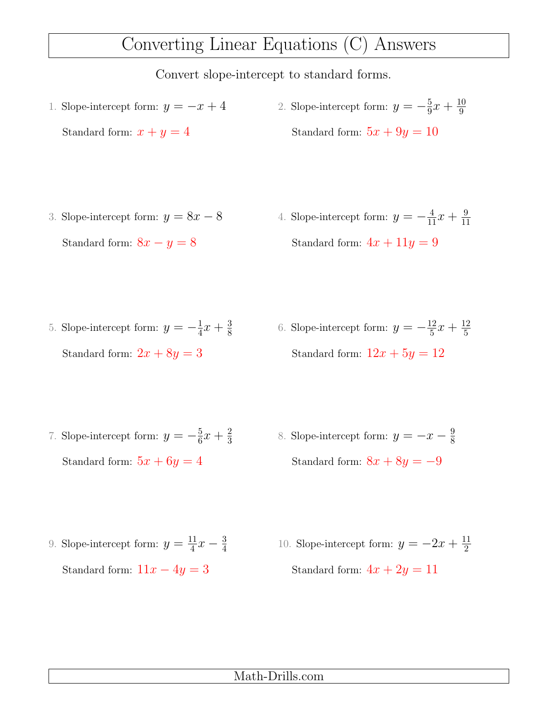### Converting Linear Equations (C) Answers

- 1. Slope-intercept form:  $y = -x + 4$ Standard form:  $x + y = 4$ 2. Slope-intercept form:  $y = -\frac{5}{9}$  $\frac{5}{9}x + \frac{10}{9}$ 9 Standard form:  $5x + 9y = 10$
- 3. Slope-intercept form:  $y = 8x 8$ Standard form:  $8x - y = 8$ 4. Slope-intercept form:  $y = -\frac{4}{11}x + \frac{9}{11}$ 11 Standard form:  $4x + 11y = 9$
- 5. Slope-intercept form:  $y = -\frac{1}{4}$  $\frac{1}{4}x + \frac{3}{8}$ 8 Standard form:  $2x + 8y = 3$ 6. Slope-intercept form:  $y = -\frac{12}{5}$  $\frac{12}{5}x + \frac{12}{5}$ 5 Standard form:  $12x + 5y = 12$
- 7. Slope-intercept form:  $y = -\frac{5}{6}$  $\frac{5}{6}x + \frac{2}{3}$ 3 Standard form:  $5x + 6y = 4$ 8. Slope-intercept form:  $y = -x - \frac{9}{8}$ 8 Standard form:  $8x + 8y = -9$
- 9. Slope-intercept form:  $y = \frac{11}{4}$  $\frac{11}{4}x - \frac{3}{4}$ 4 Standard form:  $11x - 4y = 3$ 10. Slope-intercept form:  $y = -2x + \frac{11}{2}$ 2 Standard form:  $4x + 2y = 11$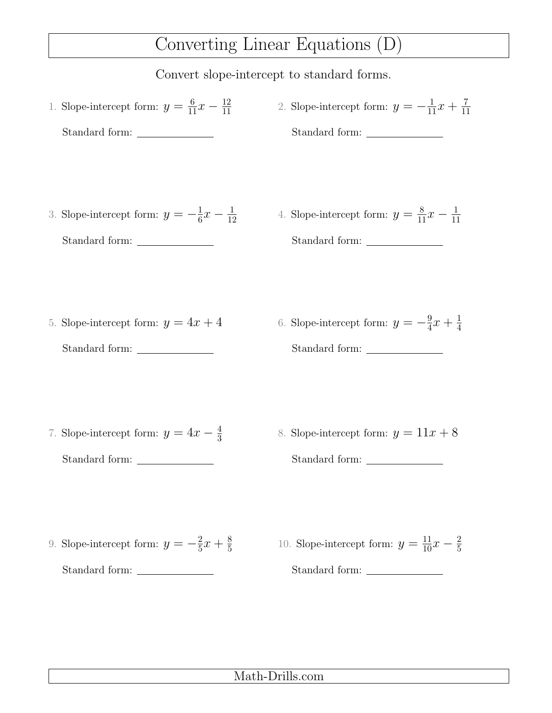### Converting Linear Equations (D)

- 1. Slope-intercept form:  $y = \frac{6}{11}x \frac{12}{11}$ 11 Standard form: 2. Slope-intercept form:  $y = -\frac{1}{11}x + \frac{7}{11}$ 11 Standard form:
- 3. Slope-intercept form:  $y = -\frac{1}{6}$  $\frac{1}{6}x - \frac{1}{12}$ 12 Standard form:
- 4. Slope-intercept form:  $y = \frac{8}{11}x \frac{1}{11}$ 11 Standard form:

- 5. Slope-intercept form:  $y = 4x + 4$ Standard form:
- 6. Slope-intercept form:  $y = -\frac{9}{4}$  $\frac{9}{4}x + \frac{1}{4}$ 4 Standard form:

- 7. Slope-intercept form:  $y = 4x \frac{4}{3}$ 3 Standard form:
- 8. Slope-intercept form:  $y = 11x + 8$ Standard form:

- 9. Slope-intercept form:  $y = -\frac{2}{5}$  $rac{2}{5}x + \frac{8}{5}$ 5 Standard form:
- 10. Slope-intercept form:  $y = \frac{11}{10}x \frac{2}{5}$ 5 Standard form: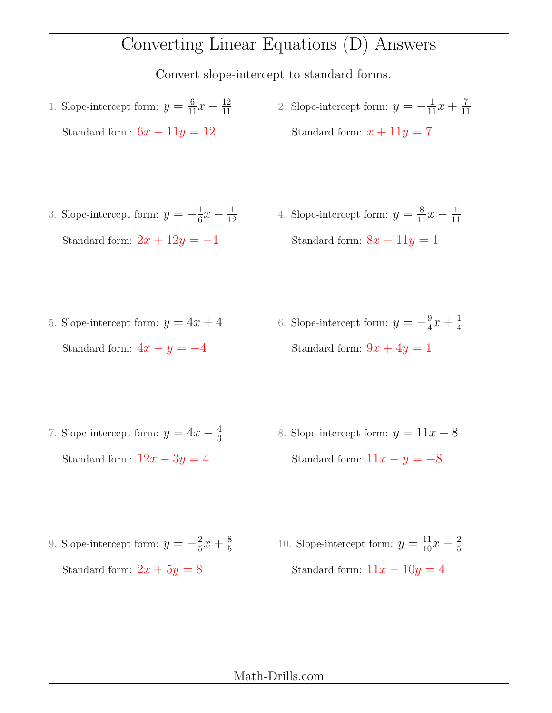## Converting Linear Equations (D) Answers

- 1. Slope-intercept form:  $y = \frac{6}{11}x \frac{12}{11}$ 11 Standard form:  $6x - 11y = 12$
- 2. Slope-intercept form:  $y = -\frac{1}{11}x + \frac{7}{11}$ 11 Standard form:  $x + 11y = 7$

- 3. Slope-intercept form:  $y = -\frac{1}{6}$  $\frac{1}{6}x - \frac{1}{12}$ 12 Standard form:  $2x + 12y = -1$
- 4. Slope-intercept form:  $y = \frac{8}{11}x \frac{1}{11}$ 11 Standard form:  $8x - 11y = 1$
- 5. Slope-intercept form:  $y = 4x + 4$ Standard form:  $4x - y = -4$ 6. Slope-intercept form:  $y = -\frac{9}{4}$  $\frac{9}{4}x + \frac{1}{4}$ 4 Standard form:  $9x + 4y = 1$
- 7. Slope-intercept form:  $y = 4x \frac{4}{3}$ 3 Standard form:  $12x - 3y = 4$ 8. Slope-intercept form:  $y = 11x + 8$ Standard form:  $11x - y = -8$
- 9. Slope-intercept form:  $y = -\frac{2}{5}$  $rac{2}{5}x + \frac{8}{5}$ 5 Standard form:  $2x + 5y = 8$ 10. Slope-intercept form:  $y = \frac{11}{10}x - \frac{2}{5}$ 5 Standard form:  $11x - 10y = 4$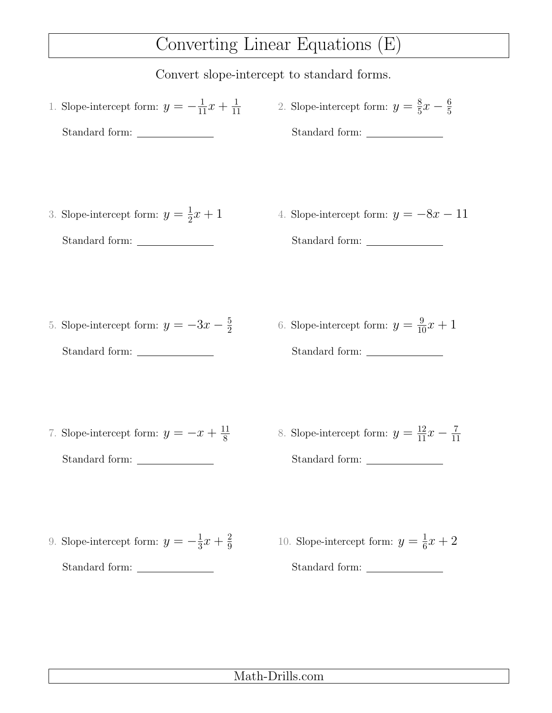## Converting Linear Equations (E)

Convert slope-intercept to standard forms.

- 1. Slope-intercept form:  $y = -\frac{1}{11}x + \frac{1}{11}$ 11 Standard form: 2. Slope-intercept form:  $y = \frac{8}{5}$  $\frac{8}{5}x-\frac{6}{5}$ 5 Standard form:
- 3. Slope-intercept form:  $y=\frac{1}{2}$  $\frac{1}{2}x + 1$ Standard form:
- 4. Slope-intercept form:  $y = -8x 11$ Standard form:

- 5. Slope-intercept form:  $y = -3x \frac{5}{2}$ 2 Standard form:
- 6. Slope-intercept form:  $y = \frac{9}{10}x + 1$ Standard form:

- 7. Slope-intercept form:  $y = -x + \frac{11}{8}$ 8 Standard form:
- 8. Slope-intercept form:  $y = \frac{12}{11}x \frac{7}{11}$ 11 Standard form:

- 9. Slope-intercept form:  $y = -\frac{1}{3}$  $rac{1}{3}x + \frac{2}{9}$ 9 Standard form:
- 10. Slope-intercept form:  $y = \frac{1}{6}$  $\frac{1}{6}x + 2$ Standard form:

### Math-Drills.com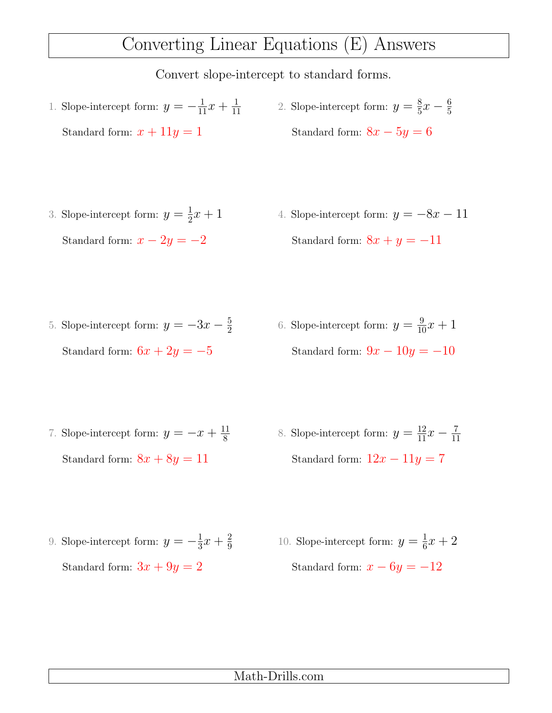## Converting Linear Equations (E) Answers

- 1. Slope-intercept form:  $y = -\frac{1}{11}x + \frac{1}{11}$ 11 Standard form:  $x + 11y = 1$ 2. Slope-intercept form:  $y = \frac{8}{5}$  $\frac{8}{5}x-\frac{6}{5}$ 5 Standard form:  $8x - 5y = 6$
- 3. Slope-intercept form:  $y=\frac{1}{2}$  $\frac{1}{2}x + 1$ Standard form:  $x - 2y = -2$ 4. Slope-intercept form:  $y = -8x - 11$ Standard form:  $8x + y = -11$
- 5. Slope-intercept form:  $y = -3x \frac{5}{2}$ 2 Standard form:  $6x + 2y = -5$ 6. Slope-intercept form:  $y = \frac{9}{10}x + 1$ Standard form:  $9x - 10y = -10$
- 7. Slope-intercept form:  $y = -x + \frac{11}{8}$ 8 Standard form:  $8x + 8y = 11$ 8. Slope-intercept form:  $y = \frac{12}{11}x - \frac{7}{11}$ 11 Standard form:  $12x - 11y = 7$
- 9. Slope-intercept form:  $y = -\frac{1}{3}$  $rac{1}{3}x + \frac{2}{9}$ 9 Standard form:  $3x + 9y = 2$ 10. Slope-intercept form:  $y = \frac{1}{6}$  $\frac{1}{6}x + 2$ Standard form:  $x - 6y = -12$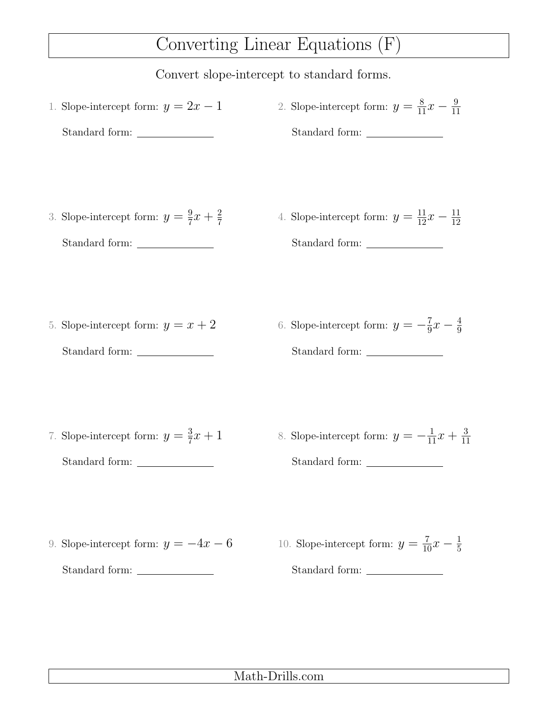## Converting Linear Equations (F)

Convert slope-intercept to standard forms.

1. Slope-intercept form:  $y = 2x - 1$ Standard form: 2. Slope-intercept form:  $y = \frac{8}{11}x - \frac{9}{11}$ 11 Standard form: 3. Slope-intercept form:  $y=\frac{9}{7}$  $\frac{9}{7}x + \frac{2}{7}$ 7 Standard form: 4. Slope-intercept form:  $y = \frac{11}{12}x - \frac{11}{12}$ 12 Standard form: 5. Slope-intercept form:  $y = x + 2$ Standard form: 6. Slope-intercept form:  $y = -\frac{7}{9}$  $\frac{7}{9}x - \frac{4}{9}$ 9 Standard form: 7. Slope-intercept form:  $y=\frac{3}{7}$  $\frac{3}{7}x + 1$ Standard form: 8. Slope-intercept form:  $y = -\frac{1}{11}x + \frac{3}{11}$ 11 Standard form: 9. Slope-intercept form:  $y = -4x - 6$ Standard form: 10. Slope-intercept form:  $y = \frac{7}{10}x - \frac{1}{5}$ 5 Standard form: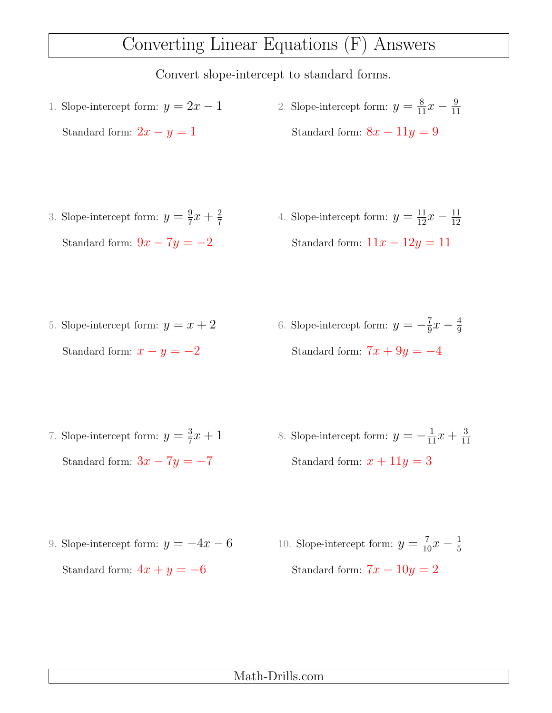## Converting Linear Equations (F) Answers

Convert slope-intercept to standard forms.

- 1. Slope-intercept form:  $y = 2x 1$ Standard form:  $2x - y = 1$ 2. Slope-intercept form:  $y = \frac{8}{11}x - \frac{9}{11}$ 11 Standard form:  $8x - 11y = 9$
- 3. Slope-intercept form:  $y=\frac{9}{7}$  $\frac{9}{7}x + \frac{2}{7}$ 7 Standard form:  $9x - 7y = -2$ 4. Slope-intercept form:  $y = \frac{11}{12}x - \frac{11}{12}$ Standard form:  $11x - 12y = 11$
- 5. Slope-intercept form:  $y = x + 2$ Standard form:  $x - y = -2$ 6. Slope-intercept form:  $y = -\frac{7}{9}$  $\frac{7}{9}x - \frac{4}{9}$ 9 Standard form:  $7x + 9y = -4$
- 7. Slope-intercept form:  $y=\frac{3}{7}$  $\frac{3}{7}x + 1$ Standard form:  $3x - 7y = -7$ 8. Slope-intercept form:  $y = -\frac{1}{11}x + \frac{3}{11}$ 11 Standard form:  $x + 11y = 3$
- 9. Slope-intercept form:  $y = -4x 6$ Standard form:  $4x + y = -6$ 10. Slope-intercept form:  $y = \frac{7}{10}x - \frac{1}{5}$ 5 Standard form:  $7x - 10y = 2$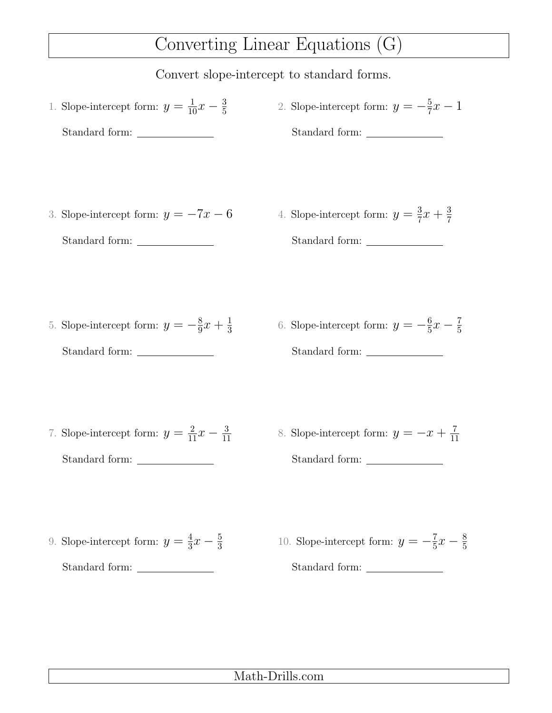### Converting Linear Equations (G)

Convert slope-intercept to standard forms.

- 1. Slope-intercept form:  $y = \frac{1}{10}x \frac{3}{5}$ 5 Standard form: 2. Slope-intercept form:  $y = -\frac{5}{7}$  $\frac{5}{7}x-1$ Standard form:
- 3. Slope-intercept form:  $y = -7x 6$

Standard form:

4. Slope-intercept form:  $y=\frac{3}{7}$  $\frac{3}{7}x + \frac{3}{7}$ 7 Standard form:

- 5. Slope-intercept form:  $y = -\frac{8}{9}$  $\frac{8}{9}x + \frac{1}{3}$ 3 Standard form:
- 6. Slope-intercept form:  $y = -\frac{6}{5}$  $\frac{6}{5}x-\frac{7}{5}$ 5 Standard form:

- 7. Slope-intercept form:  $y = \frac{2}{11}x \frac{3}{11}$ 11 Standard form:
- 8. Slope-intercept form:  $y = -x + \frac{7}{11}$ 11 Standard form:

- 9. Slope-intercept form:  $y=\frac{4}{3}$  $\frac{4}{3}x-\frac{5}{3}$ 3 Standard form:
- 10. Slope-intercept form:  $y = -\frac{7}{5}$  $\frac{7}{5}x - \frac{8}{5}$ 5 Standard form: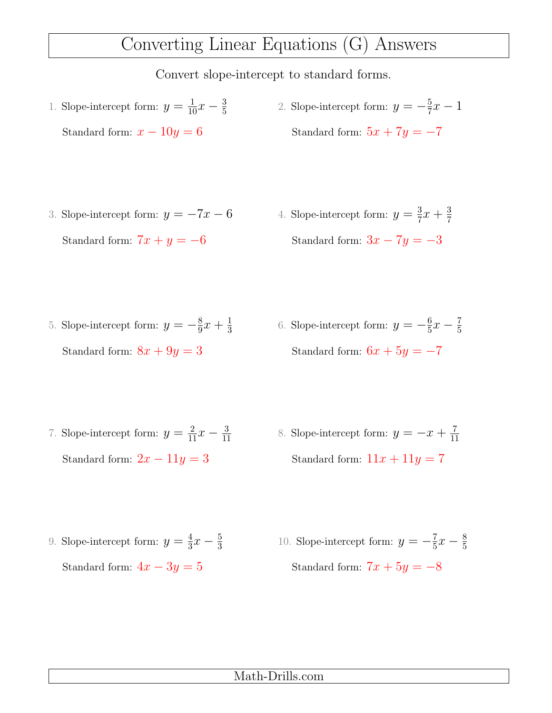## Converting Linear Equations (G) Answers

- 1. Slope-intercept form:  $y = \frac{1}{10}x \frac{3}{5}$ 5 Standard form:  $x - 10y = 6$ 2. Slope-intercept form:  $y = -\frac{5}{7}$  $\frac{5}{7}x-1$ Standard form:  $5x + 7y = -7$
- 3. Slope-intercept form:  $y = -7x 6$ Standard form:  $7x + y = -6$
- 4. Slope-intercept form:  $y = \frac{3}{7}$  $\frac{3}{7}x + \frac{3}{7}$ 7 Standard form:  $3x - 7y = -3$
- 5. Slope-intercept form:  $y = -\frac{8}{9}$  $\frac{8}{9}x + \frac{1}{3}$ 3 Standard form:  $8x + 9y = 3$ 6. Slope-intercept form:  $y = -\frac{6}{5}$  $\frac{6}{5}x-\frac{7}{5}$ 5 Standard form:  $6x + 5y = -7$
- 7. Slope-intercept form:  $y = \frac{2}{11}x \frac{3}{11}$ 11 Standard form:  $2x - 11y = 3$ 8. Slope-intercept form:  $y = -x + \frac{7}{11}$ 11 Standard form:  $11x + 11y = 7$
- 9. Slope-intercept form:  $y=\frac{4}{3}$  $\frac{4}{3}x-\frac{5}{3}$ 3 Standard form:  $4x - 3y = 5$ 10. Slope-intercept form:  $y = -\frac{7}{5}$  $\frac{7}{5}x - \frac{8}{5}$ 5 Standard form:  $7x + 5y = -8$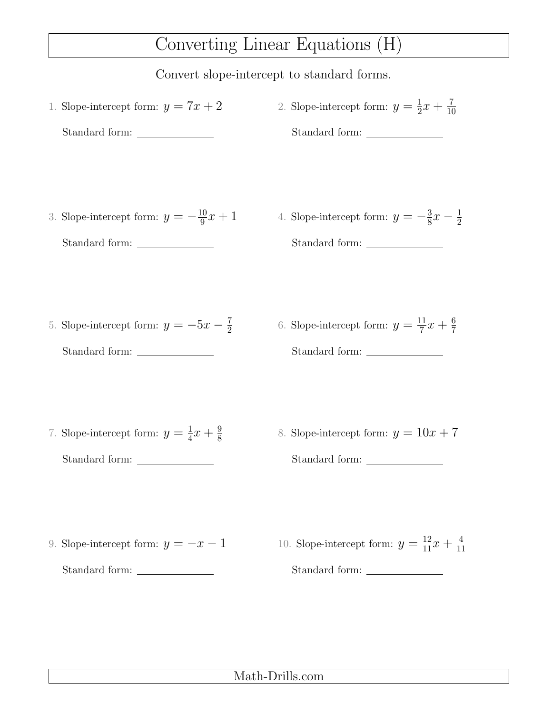## Converting Linear Equations (H)

Convert slope-intercept to standard forms.

1. Slope-intercept form:  $y = 7x + 2$ Standard form: 2. Slope-intercept form:  $y=\frac{1}{2}$  $rac{1}{2}x + \frac{7}{10}$ 10 Standard form: 3. Slope-intercept form:  $y = -\frac{10}{9}$  $\frac{10}{9}x + 1$ Standard form: 4. Slope-intercept form:  $y=-\frac{3}{8}$  $\frac{3}{8}x-\frac{1}{2}$ 2 Standard form: 5. Slope-intercept form:  $y = -5x - \frac{7}{2}$ 2 Standard form: 6. Slope-intercept form:  $y = \frac{11}{7}$  $\frac{11}{7}x + \frac{6}{7}$ 7 Standard form: 7. Slope-intercept form:  $y=\frac{1}{4}$  $\frac{1}{4}x + \frac{9}{8}$ 8 Standard form: \_\_\_\_\_\_\_\_\_\_\_\_\_\_\_\_\_\_ 8. Slope-intercept form:  $y = 10x + 7$ Standard form: 9. Slope-intercept form:  $y = -x - 1$ Standard form: 10. Slope-intercept form:  $y = \frac{12}{11}x + \frac{4}{11}$ 11 Standard form: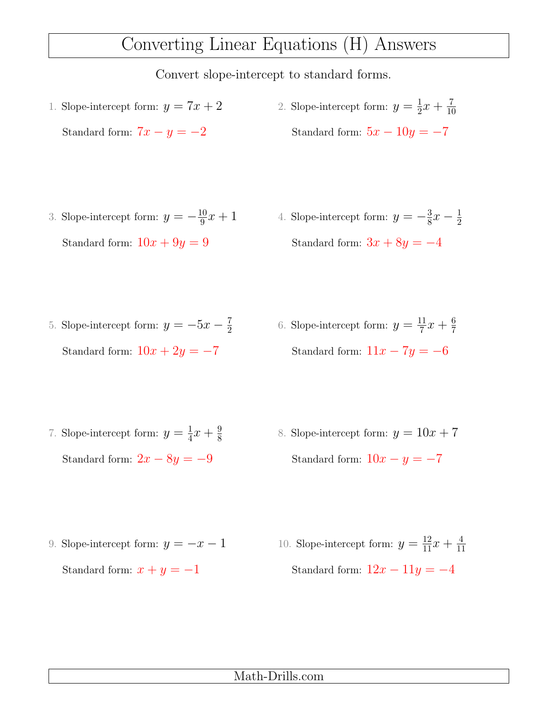### Converting Linear Equations (H) Answers

- 1. Slope-intercept form:  $y = 7x + 2$ Standard form:  $7x - y = -2$ 2. Slope-intercept form:  $y=\frac{1}{2}$  $rac{1}{2}x + \frac{7}{10}$ 10 Standard form:  $5x - 10y = -7$
- 3. Slope-intercept form:  $y = -\frac{10}{9}$  $\frac{10}{9}x + 1$ Standard form:  $10x + 9y = 9$ 4. Slope-intercept form:  $y=-\frac{3}{8}$  $\frac{3}{8}x-\frac{1}{2}$ 2 Standard form:  $3x + 8y = -4$
- 5. Slope-intercept form:  $y = -5x \frac{7}{2}$ 2 Standard form:  $10x + 2y = -7$ 6. Slope-intercept form:  $y = \frac{11}{7}$  $\frac{11}{7}x + \frac{6}{7}$ 7 Standard form:  $11x - 7y = -6$
- 7. Slope-intercept form:  $y=\frac{1}{4}$  $\frac{1}{4}x + \frac{9}{8}$ 8 Standard form:  $2x - 8y = -9$ 8. Slope-intercept form:  $y = 10x + 7$ Standard form:  $10x - y = -7$
- 9. Slope-intercept form:  $y = -x 1$ Standard form:  $x + y = -1$ 10. Slope-intercept form:  $y = \frac{12}{11}x + \frac{4}{11}$ 11 Standard form:  $12x - 11y = -4$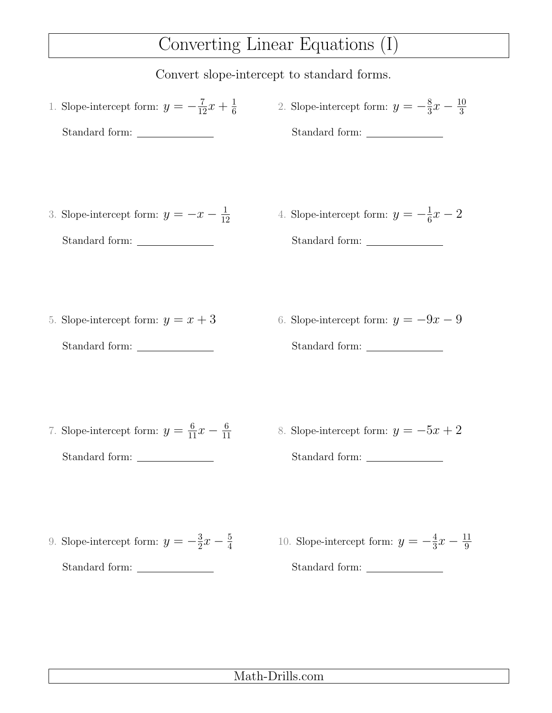### Converting Linear Equations (I)

Convert slope-intercept to standard forms.

1. Slope-intercept form:  $y = -\frac{7}{12}x + \frac{1}{6}$ 6 Standard form: 2. Slope-intercept form:  $y = -\frac{8}{3}$  $\frac{8}{3}x - \frac{10}{3}$ 3 Standard form: 3. Slope-intercept form:  $y = -x - \frac{1}{16}$ 12 Standard form: 4. Slope-intercept form:  $y = -\frac{1}{6}$  $\frac{1}{6}x-2$ Standard form: 5. Slope-intercept form:  $y = x + 3$ Standard form: 6. Slope-intercept form:  $y = -9x - 9$ Standard form: 7. Slope-intercept form:  $y = \frac{6}{11}x - \frac{6}{11}$ 11 Standard form: 8. Slope-intercept form:  $y = -5x + 2$ Standard form: 9. Slope-intercept form:  $y=-\frac{3}{2}$  $\frac{3}{2}x - \frac{5}{4}$ 4 Standard form: 10. Slope-intercept form:  $y = -\frac{4}{3}$  $\frac{4}{3}x - \frac{11}{9}$ 9 Standard form: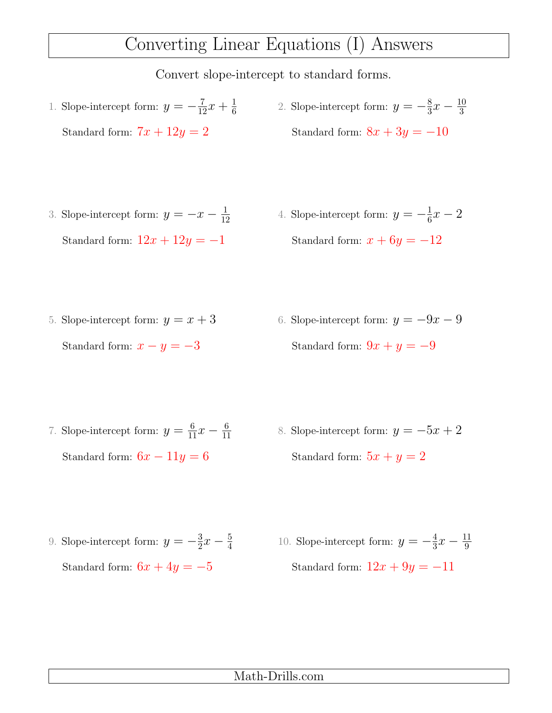### Converting Linear Equations (I) Answers

- 1. Slope-intercept form:  $y = -\frac{7}{12}x + \frac{1}{6}$ 6 Standard form:  $7x + 12y = 2$ 2. Slope-intercept form:  $y = -\frac{8}{3}$  $\frac{8}{3}x - \frac{10}{3}$ 3 Standard form:  $8x + 3y = -10$
- 3. Slope-intercept form:  $y = -x \frac{1}{16}$ 12 Standard form:  $12x + 12y = -1$ 4. Slope-intercept form:  $y = -\frac{1}{6}$  $\frac{1}{6}x-2$ Standard form:  $x + 6y = -12$
- 5. Slope-intercept form:  $y = x + 3$ Standard form:  $x - y = -3$ 6. Slope-intercept form:  $y = -9x - 9$ Standard form:  $9x + y = -9$
- 7. Slope-intercept form:  $y = \frac{6}{11}x \frac{6}{11}$ 11 Standard form:  $6x - 11y = 6$ 8. Slope-intercept form:  $y = -5x + 2$ Standard form:  $5x + y = 2$
- 9. Slope-intercept form:  $y=-\frac{3}{2}$  $\frac{3}{2}x - \frac{5}{4}$ 4 Standard form:  $6x + 4y = -5$ 10. Slope-intercept form:  $y = -\frac{4}{3}$  $\frac{4}{3}x - \frac{11}{9}$ 9 Standard form:  $12x + 9y = -11$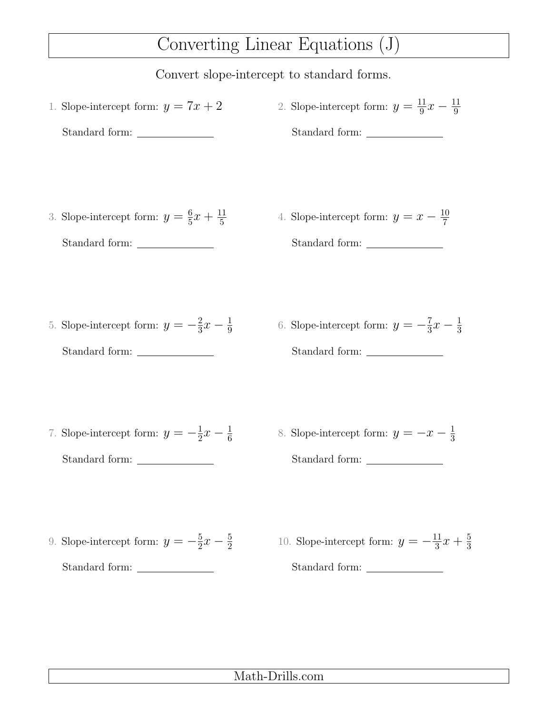### Converting Linear Equations (J)

Convert slope-intercept to standard forms.

1. Slope-intercept form:  $y = 7x + 2$ Standard form: 2. Slope-intercept form:  $y = \frac{11}{9}$  $\frac{11}{9}x - \frac{11}{9}$ 9 Standard form: 3. Slope-intercept form:  $y = \frac{6}{5}$  $\frac{6}{5}x + \frac{11}{5}$ 5 Standard form: 4. Slope-intercept form:  $y = x - \frac{10}{7}$ 7 Standard form: 5. Slope-intercept form:  $y = -\frac{2}{3}$  $rac{2}{3}x-\frac{1}{9}$ 9 Standard form: 6. Slope-intercept form:  $y = -\frac{7}{3}$  $\frac{7}{3}x - \frac{1}{3}$ 3 Standard form: 7. Slope-intercept form:  $y = -\frac{1}{2}$  $rac{1}{2}x - \frac{1}{6}$ 6 Standard form: 8. Slope-intercept form:  $y = -x - \frac{1}{3}$ 3 Standard form: 9. Slope-intercept form:  $y=-\frac{5}{2}$  $\frac{5}{2}x-\frac{5}{2}$ 2 Standard form: 10. Slope-intercept form:  $y = -\frac{11}{3}$  $\frac{11}{3}x + \frac{5}{3}$ Standard form: